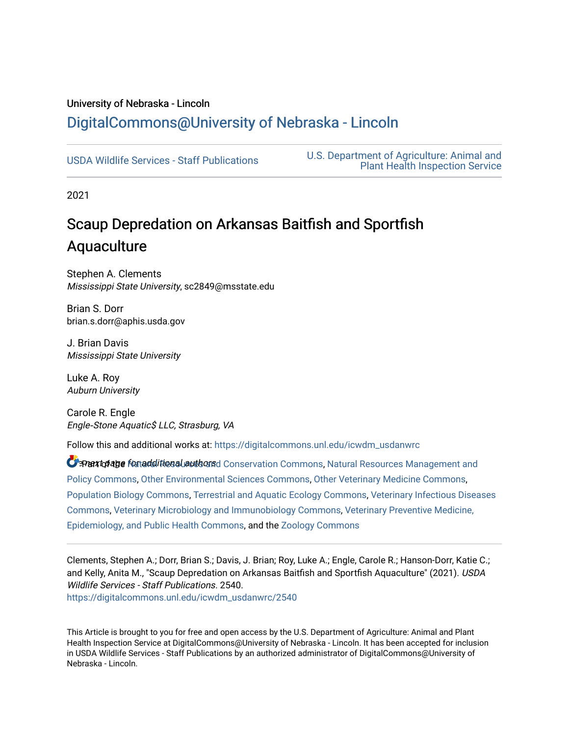## University of Nebraska - Lincoln [DigitalCommons@University of Nebraska - Lincoln](https://digitalcommons.unl.edu/)

[USDA Wildlife Services - Staff Publications](https://digitalcommons.unl.edu/icwdm_usdanwrc) [U.S. Department of Agriculture: Animal and](https://digitalcommons.unl.edu/usdaaphis)  [Plant Health Inspection Service](https://digitalcommons.unl.edu/usdaaphis) 

2021

## Scaup Depredation on Arkansas Baitfish and Sportfish Aquaculture

Stephen A. Clements Mississippi State University, sc2849@msstate.edu

Brian S. Dorr brian.s.dorr@aphis.usda.gov

J. Brian Davis Mississippi State University

Luke A. Roy Auburn University

Carole R. Engle Engle‐Stone Aquatic\$ LLC, Strasburg, VA

Follow this and additional works at: [https://digitalcommons.unl.edu/icwdm\\_usdanwrc](https://digitalcommons.unl.edu/icwdm_usdanwrc?utm_source=digitalcommons.unl.edu%2Ficwdm_usdanwrc%2F2540&utm_medium=PDF&utm_campaign=PDFCoverPages)

**C** Part of age fortadditional authors Conservation Commons, [Natural Resources Management and](http://network.bepress.com/hgg/discipline/170?utm_source=digitalcommons.unl.edu%2Ficwdm_usdanwrc%2F2540&utm_medium=PDF&utm_campaign=PDFCoverPages) [Policy Commons](http://network.bepress.com/hgg/discipline/170?utm_source=digitalcommons.unl.edu%2Ficwdm_usdanwrc%2F2540&utm_medium=PDF&utm_campaign=PDFCoverPages), [Other Environmental Sciences Commons](http://network.bepress.com/hgg/discipline/173?utm_source=digitalcommons.unl.edu%2Ficwdm_usdanwrc%2F2540&utm_medium=PDF&utm_campaign=PDFCoverPages), [Other Veterinary Medicine Commons](http://network.bepress.com/hgg/discipline/771?utm_source=digitalcommons.unl.edu%2Ficwdm_usdanwrc%2F2540&utm_medium=PDF&utm_campaign=PDFCoverPages), [Population Biology Commons,](http://network.bepress.com/hgg/discipline/19?utm_source=digitalcommons.unl.edu%2Ficwdm_usdanwrc%2F2540&utm_medium=PDF&utm_campaign=PDFCoverPages) [Terrestrial and Aquatic Ecology Commons,](http://network.bepress.com/hgg/discipline/20?utm_source=digitalcommons.unl.edu%2Ficwdm_usdanwrc%2F2540&utm_medium=PDF&utm_campaign=PDFCoverPages) [Veterinary Infectious Diseases](http://network.bepress.com/hgg/discipline/770?utm_source=digitalcommons.unl.edu%2Ficwdm_usdanwrc%2F2540&utm_medium=PDF&utm_campaign=PDFCoverPages)  [Commons](http://network.bepress.com/hgg/discipline/770?utm_source=digitalcommons.unl.edu%2Ficwdm_usdanwrc%2F2540&utm_medium=PDF&utm_campaign=PDFCoverPages), [Veterinary Microbiology and Immunobiology Commons,](http://network.bepress.com/hgg/discipline/763?utm_source=digitalcommons.unl.edu%2Ficwdm_usdanwrc%2F2540&utm_medium=PDF&utm_campaign=PDFCoverPages) [Veterinary Preventive Medicine,](http://network.bepress.com/hgg/discipline/769?utm_source=digitalcommons.unl.edu%2Ficwdm_usdanwrc%2F2540&utm_medium=PDF&utm_campaign=PDFCoverPages)  [Epidemiology, and Public Health Commons,](http://network.bepress.com/hgg/discipline/769?utm_source=digitalcommons.unl.edu%2Ficwdm_usdanwrc%2F2540&utm_medium=PDF&utm_campaign=PDFCoverPages) and the [Zoology Commons](http://network.bepress.com/hgg/discipline/81?utm_source=digitalcommons.unl.edu%2Ficwdm_usdanwrc%2F2540&utm_medium=PDF&utm_campaign=PDFCoverPages)

Clements, Stephen A.; Dorr, Brian S.; Davis, J. Brian; Roy, Luke A.; Engle, Carole R.; Hanson-Dorr, Katie C.; and Kelly, Anita M., "Scaup Depredation on Arkansas Baitfish and Sportfish Aquaculture" (2021). USDA Wildlife Services - Staff Publications. 2540. [https://digitalcommons.unl.edu/icwdm\\_usdanwrc/2540](https://digitalcommons.unl.edu/icwdm_usdanwrc/2540?utm_source=digitalcommons.unl.edu%2Ficwdm_usdanwrc%2F2540&utm_medium=PDF&utm_campaign=PDFCoverPages) 

This Article is brought to you for free and open access by the U.S. Department of Agriculture: Animal and Plant Health Inspection Service at DigitalCommons@University of Nebraska - Lincoln. It has been accepted for inclusion in USDA Wildlife Services - Staff Publications by an authorized administrator of DigitalCommons@University of Nebraska - Lincoln.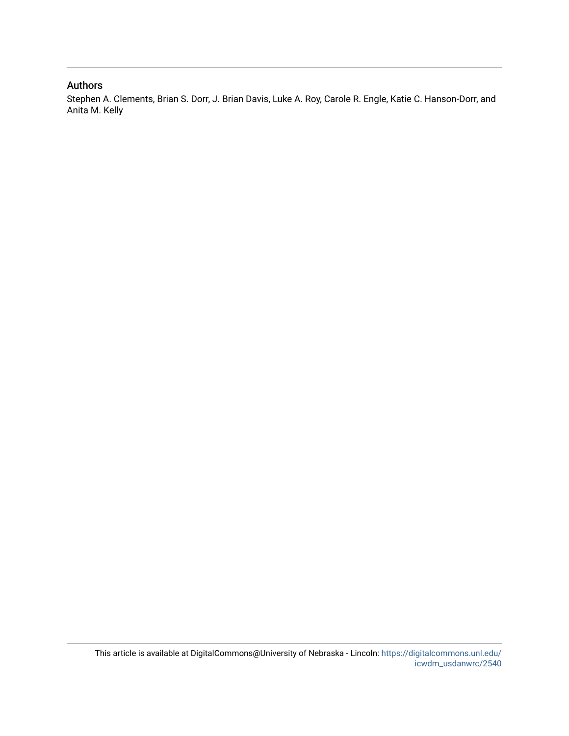#### Authors

Stephen A. Clements, Brian S. Dorr, J. Brian Davis, Luke A. Roy, Carole R. Engle, Katie C. Hanson-Dorr, and Anita M. Kelly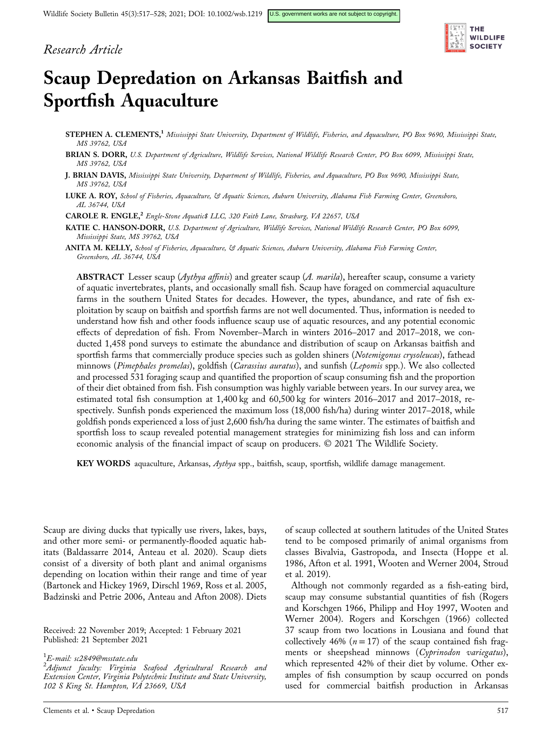### Research Article



# Scaup Depredation on Arkansas Baitfish and Sportfish Aquaculture

- STEPHEN A. CLEMENTS,<sup>1</sup> Mississippi State University, Department of Wildlife, Fisheries, and Aquaculture, PO Box 9690, Mississippi State, MS 39762, USA
- BRIAN S. DORR, U.S. Department of Agriculture, Wildlife Services, National Wildlife Research Center, PO Box 6099, Mississippi State, MS 39762, USA
- J. BRIAN DAVIS, Mississippi State University, Department of Wildlife, Fisheries, and Aquaculture, PO Box 9690, Mississippi State, MS 39762, USA
- LUKE A. ROY, School of Fisheries, Aquaculture, & Aquatic Sciences, Auburn University, Alabama Fish Farming Center, Greensboro, AL 36744, USA

CAROLE R. ENGLE,<sup>2</sup> Engle-Stone Aquatic\$ LLC, 320 Faith Lane, Strasburg, VA 22657, USA

- KATIE C. HANSON-DORR, U.S. Department of Agriculture, Wildlife Services, National Wildlife Research Center, PO Box 6099, Mississippi State, MS 39762, USA
- ANITA M. KELLY, School of Fisheries, Aquaculture, & Aquatic Sciences, Auburn University, Alabama Fish Farming Center, Greensboro, AL 36744, USA

**ABSTRACT** Lesser scaup ( $Aythya$  affinis) and greater scaup ( $A.$  marila), hereafter scaup, consume a variety of aquatic invertebrates, plants, and occasionally small fish. Scaup have foraged on commercial aquaculture farms in the southern United States for decades. However, the types, abundance, and rate of fish exploitation by scaup on baitfish and sportfish farms are not well documented. Thus, information is needed to understand how fish and other foods influence scaup use of aquatic resources, and any potential economic effects of depredation of fish. From November–March in winters 2016–2017 and 2017–2018, we conducted 1,458 pond surveys to estimate the abundance and distribution of scaup on Arkansas baitfish and sportfish farms that commercially produce species such as golden shiners (Notemigonus crysoleucas), fathead minnows (Pimephales promelas), goldfish (Carassius auratus), and sunfish (Lepomis spp.). We also collected and processed 531 foraging scaup and quantified the proportion of scaup consuming fish and the proportion of their diet obtained from fish. Fish consumption was highly variable between years. In our survey area, we estimated total fish consumption at 1,400 kg and 60,500 kg for winters 2016–2017 and 2017–2018, respectively. Sunfish ponds experienced the maximum loss (18,000 fish/ha) during winter 2017–2018, while goldfish ponds experienced a loss of just 2,600 fish/ha during the same winter. The estimates of baitfish and sportfish loss to scaup revealed potential management strategies for minimizing fish loss and can inform economic analysis of the financial impact of scaup on producers. © 2021 The Wildlife Society.

KEY WORDS aquaculture, Arkansas, Aythya spp., baitfish, scaup, sportfish, wildlife damage management.

Scaup are diving ducks that typically use rivers, lakes, bays, and other more semi‐ or permanently‐flooded aquatic habitats (Baldassarre 2014, Anteau et al. 2020). Scaup diets consist of a diversity of both plant and animal organisms depending on location within their range and time of year (Bartonek and Hickey 1969, Dirschl 1969, Ross et al. 2005, Badzinski and Petrie 2006, Anteau and Afton 2008). Diets

Received: 22 November 2019; Accepted: 1 February 2021 Published: 21 September 2021

<sup>1</sup>E-mail: [sc2849@msstate.edu](mailto:sc2849@msstate.edu)<br><sup>2</sup> Adiunat - facultur - Virginia

 $^{2}$ Adjunct faculty: Virginia Seafood Agricultural Research and Extension Center, Virginia Polytechnic Institute and State University, 102 S King St. Hampton, VA 23669, USA

of scaup collected at southern latitudes of the United States tend to be composed primarily of animal organisms from classes Bivalvia, Gastropoda, and Insecta (Hoppe et al. 1986, Afton et al. 1991, Wooten and Werner 2004, Stroud et al. 2019).

Although not commonly regarded as a fish‐eating bird, scaup may consume substantial quantities of fish (Rogers and Korschgen 1966, Philipp and Hoy 1997, Wooten and Werner 2004). Rogers and Korschgen (1966) collected 37 scaup from two locations in Lousiana and found that collectively 46% ( $n = 17$ ) of the scaup contained fish fragments or sheepshead minnows (Cyprinodon variegatus), which represented 42% of their diet by volume. Other examples of fish consumption by scaup occurred on ponds used for commercial baitfish production in Arkansas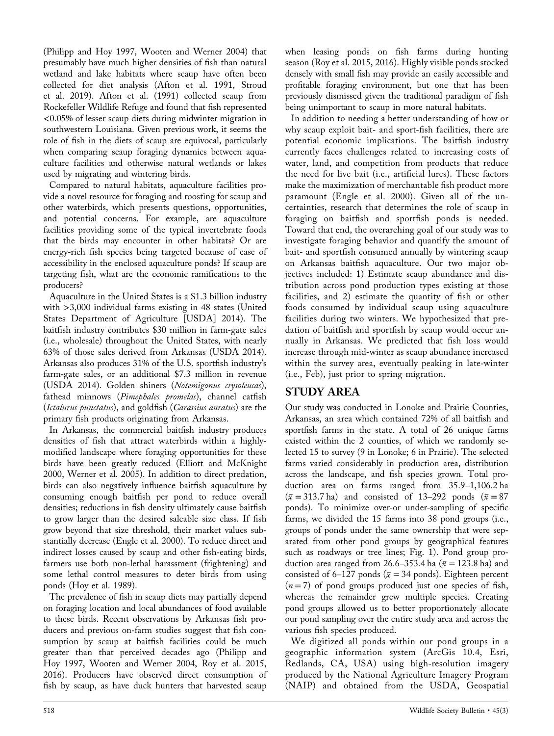(Philipp and Hoy 1997, Wooten and Werner 2004) that presumably have much higher densities of fish than natural wetland and lake habitats where scaup have often been collected for diet analysis (Afton et al. 1991, Stroud et al. 2019). Afton et al. (1991) collected scaup from Rockefeller Wildlife Refuge and found that fish represented <0.05% of lesser scaup diets during midwinter migration in southwestern Louisiana. Given previous work, it seems the role of fish in the diets of scaup are equivocal, particularly when comparing scaup foraging dynamics between aquaculture facilities and otherwise natural wetlands or lakes used by migrating and wintering birds.

Compared to natural habitats, aquaculture facilities provide a novel resource for foraging and roosting for scaup and other waterbirds, which presents questions, opportunities, and potential concerns. For example, are aquaculture facilities providing some of the typical invertebrate foods that the birds may encounter in other habitats? Or are energy‐rich fish species being targeted because of ease of accessibility in the enclosed aquaculture ponds? If scaup are targeting fish, what are the economic ramifications to the producers?

Aquaculture in the United States is a \$1.3 billion industry with >3,000 individual farms existing in 48 states (United States Department of Agriculture [USDA] 2014). The baitfish industry contributes \$30 million in farm‐gate sales (i.e., wholesale) throughout the United States, with nearly 63% of those sales derived from Arkansas (USDA 2014). Arkansas also produces 31% of the U.S. sportfish industry's farm‐gate sales, or an additional \$7.3 million in revenue (USDA 2014). Golden shiners (Notemigonus crysoleucas), fathead minnows (Pimephales promelas), channel catfish (Ictalurus punctatus), and goldfish (Carassius auratus) are the primary fish products originating from Arkansas.

In Arkansas, the commercial baitfish industry produces densities of fish that attract waterbirds within a highly‐ modified landscape where foraging opportunities for these birds have been greatly reduced (Elliott and McKnight 2000, Werner et al. 2005). In addition to direct predation, birds can also negatively influence baitfish aquaculture by consuming enough baitfish per pond to reduce overall densities; reductions in fish density ultimately cause baitfish to grow larger than the desired saleable size class. If fish grow beyond that size threshold, their market values substantially decrease (Engle et al. 2000). To reduce direct and indirect losses caused by scaup and other fish‐eating birds, farmers use both non-lethal harassment (frightening) and some lethal control measures to deter birds from using ponds (Hoy et al. 1989).

The prevalence of fish in scaup diets may partially depend on foraging location and local abundances of food available to these birds. Recent observations by Arkansas fish producers and previous on‐farm studies suggest that fish consumption by scaup at baitfish facilities could be much greater than that perceived decades ago (Philipp and Hoy 1997, Wooten and Werner 2004, Roy et al. 2015, 2016). Producers have observed direct consumption of fish by scaup, as have duck hunters that harvested scaup when leasing ponds on fish farms during hunting season (Roy et al. 2015, 2016). Highly visible ponds stocked densely with small fish may provide an easily accessible and profitable foraging environment, but one that has been previously dismissed given the traditional paradigm of fish being unimportant to scaup in more natural habitats.

In addition to needing a better understanding of how or why scaup exploit bait‐ and sport‐fish facilities, there are potential economic implications. The baitfish industry currently faces challenges related to increasing costs of water, land, and competition from products that reduce the need for live bait (i.e., artificial lures). These factors make the maximization of merchantable fish product more paramount (Engle et al. 2000). Given all of the uncertainties, research that determines the role of scaup in foraging on baitfish and sportfish ponds is needed. Toward that end, the overarching goal of our study was to investigate foraging behavior and quantify the amount of bait‐ and sportfish consumed annually by wintering scaup on Arkansas baitfish aquaculture. Our two major objectives included: 1) Estimate scaup abundance and distribution across pond production types existing at those facilities, and 2) estimate the quantity of fish or other foods consumed by individual scaup using aquaculture facilities during two winters. We hypothesized that predation of baitfish and sportfish by scaup would occur annually in Arkansas. We predicted that fish loss would increase through mid‐winter as scaup abundance increased within the survey area, eventually peaking in late-winter (i.e., Feb), just prior to spring migration.

## STUDY AREA

Our study was conducted in Lonoke and Prairie Counties, Arkansas, an area which contained 72% of all baitfish and sportfish farms in the state. A total of 26 unique farms existed within the 2 counties, of which we randomly selected 15 to survey (9 in Lonoke; 6 in Prairie). The selected farms varied considerably in production area, distribution across the landscape, and fish species grown. Total production area on farms ranged from 35.9–1,106.2 ha  $(\bar{x} = 313.7 \text{ ha})$  and consisted of 13–292 ponds  $(\bar{x} = 87)$ ponds). To minimize over‐or under‐sampling of specific farms, we divided the 15 farms into 38 pond groups (i.e., groups of ponds under the same ownership that were separated from other pond groups by geographical features such as roadways or tree lines; Fig. 1). Pond group production area ranged from 26.6–353.4 ha ( $\bar{x}$  = 123.8 ha) and consisted of 6–127 ponds ( $\bar{x}$  = 34 ponds). Eighteen percent  $(n=7)$  of pond groups produced just one species of fish, whereas the remainder grew multiple species. Creating pond groups allowed us to better proportionately allocate our pond sampling over the entire study area and across the various fish species produced.

We digitized all ponds within our pond groups in a geographic information system (ArcGis 10.4, Esri, Redlands, CA, USA) using high‐resolution imagery produced by the National Agriculture Imagery Program (NAIP) and obtained from the USDA, Geospatial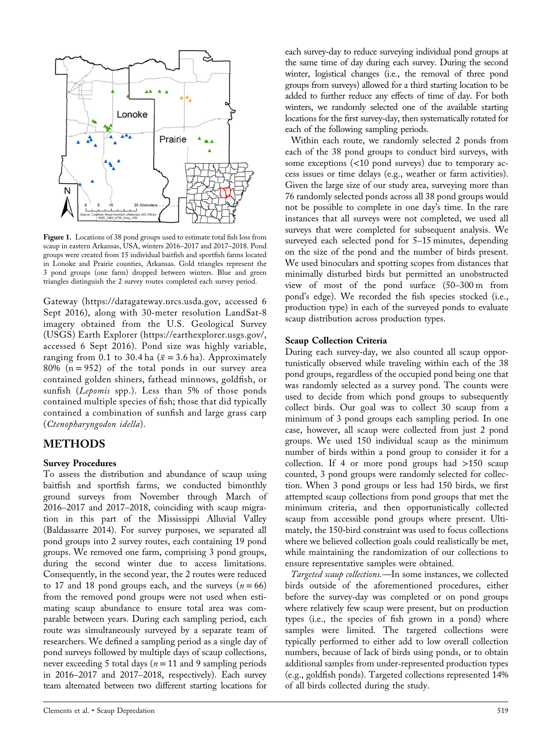

Figure 1. Locations of 38 pond groups used to estimate total fish loss from scaup in eastern Arkansas, USA, winters 2016–2017 and 2017–2018. Pond groups were created from 15 individual baitfish and sportfish farms located in Lonoke and Prairie counties, Arkansas. Gold triangles represent the 3 pond groups (one farm) dropped between winters. Blue and green triangles distinguish the 2 survey routes completed each survey period.

Gateway ([https://datagateway.nrcs.usda.gov,](https://datagateway.nrcs.usda.gov) accessed 6 Sept 2016), along with 30-meter resolution LandSat-8 imagery obtained from the U.S. Geological Survey (USGS) Earth Explorer (<https://earthexplorer.usgs.gov/>, accessed 6 Sept 2016). Pond size was highly variable, ranging from 0.1 to 30.4 ha ( $\bar{x}$  = 3.6 ha). Approximately 80%  $(n = 952)$  of the total ponds in our survey area contained golden shiners, fathead minnows, goldfish, or sunfish (Lepomis spp.). Less than 5% of those ponds contained multiple species of fish; those that did typically contained a combination of sunfish and large grass carp (Ctenopharyngodon idella).

## METHODS

#### Survey Procedures

To assess the distribution and abundance of scaup using baitfish and sportfish farms, we conducted bimonthly ground surveys from November through March of 2016–2017 and 2017–2018, coinciding with scaup migration in this part of the Mississippi Alluvial Valley (Baldassarre 2014). For survey purposes, we separated all pond groups into 2 survey routes, each containing 19 pond groups. We removed one farm, comprising 3 pond groups, during the second winter due to access limitations. Consequently, in the second year, the 2 routes were reduced to 17 and 18 pond groups each, and the surveys  $(n = 66)$ from the removed pond groups were not used when estimating scaup abundance to ensure total area was comparable between years. During each sampling period, each route was simultaneously surveyed by a separate team of researchers. We defined a sampling period as a single day of pond surveys followed by multiple days of scaup collections, never exceeding 5 total days ( $n = 11$  and 9 sampling periods in 2016–2017 and 2017–2018, respectively). Each survey team alternated between two different starting locations for

each survey-day to reduce surveying individual pond groups at the same time of day during each survey. During the second winter, logistical changes (i.e., the removal of three pond groups from surveys) allowed for a third starting location to be added to further reduce any effects of time of day. For both winters, we randomly selected one of the available starting locations for the first survey‐day, then systematically rotated for each of the following sampling periods.

Within each route, we randomly selected 2 ponds from each of the 38 pond groups to conduct bird surveys, with some exceptions (<10 pond surveys) due to temporary access issues or time delays (e.g., weather or farm activities). Given the large size of our study area, surveying more than 76 randomly selected ponds across all 38 pond groups would not be possible to complete in one day's time. In the rare instances that all surveys were not completed, we used all surveys that were completed for subsequent analysis. We surveyed each selected pond for 5–15 minutes, depending on the size of the pond and the number of birds present. We used binoculars and spotting scopes from distances that minimally disturbed birds but permitted an unobstructed view of most of the pond surface (50–300 m from pond's edge). We recorded the fish species stocked (i.e., production type) in each of the surveyed ponds to evaluate scaup distribution across production types.

#### Scaup Collection Criteria

During each survey‐day, we also counted all scaup opportunistically observed while traveling within each of the 38 pond groups, regardless of the occupied pond being one that was randomly selected as a survey pond. The counts were used to decide from which pond groups to subsequently collect birds. Our goal was to collect 30 scaup from a minimum of 3 pond groups each sampling period. In one case, however, all scaup were collected from just 2 pond groups. We used 150 individual scaup as the minimum number of birds within a pond group to consider it for a collection. If 4 or more pond groups had  $>150$  scaup counted, 3 pond groups were randomly selected for collection. When 3 pond groups or less had 150 birds, we first attempted scaup collections from pond groups that met the minimum criteria, and then opportunistically collected scaup from accessible pond groups where present. Ultimately, the 150‐bird constraint was used to focus collections where we believed collection goals could realistically be met, while maintaining the randomization of our collections to ensure representative samples were obtained.

Targeted scaup collections.—In some instances, we collected birds outside of the aforementioned procedures, either before the survey‐day was completed or on pond groups where relatively few scaup were present, but on production types (i.e., the species of fish grown in a pond) where samples were limited. The targeted collections were typically performed to either add to low overall collection numbers, because of lack of birds using ponds, or to obtain additional samples from under‐represented production types (e.g., goldfish ponds). Targeted collections represented 14% of all birds collected during the study.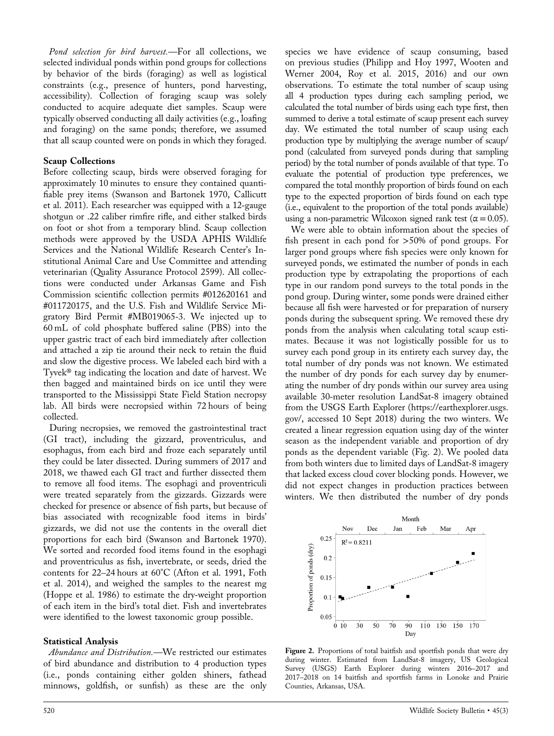Pond selection for bird harvest.—For all collections, we selected individual ponds within pond groups for collections by behavior of the birds (foraging) as well as logistical constraints (e.g., presence of hunters, pond harvesting, accessibility). Collection of foraging scaup was solely conducted to acquire adequate diet samples. Scaup were typically observed conducting all daily activities (e.g., loafing and foraging) on the same ponds; therefore, we assumed that all scaup counted were on ponds in which they foraged.

#### Scaup Collections

Before collecting scaup, birds were observed foraging for approximately 10 minutes to ensure they contained quantifiable prey items (Swanson and Bartonek 1970, Callicutt et al. 2011). Each researcher was equipped with a 12‐gauge shotgun or .22 caliber rimfire rifle, and either stalked birds on foot or shot from a temporary blind. Scaup collection methods were approved by the USDA APHIS Wildlife Services and the National Wildlife Research Center's Institutional Animal Care and Use Committee and attending veterinarian (Quality Assurance Protocol 2599). All collections were conducted under Arkansas Game and Fish Commission scientific collection permits #012620161 and #011720175, and the U.S. Fish and Wildlife Service Migratory Bird Permit #MB019065‐3. We injected up to 60 mL of cold phosphate buffered saline (PBS) into the upper gastric tract of each bird immediately after collection and attached a zip tie around their neck to retain the fluid and slow the digestive process. We labeled each bird with a Tyvek® tag indicating the location and date of harvest. We then bagged and maintained birds on ice until they were transported to the Mississippi State Field Station necropsy lab. All birds were necropsied within 72 hours of being collected.

During necropsies, we removed the gastrointestinal tract (GI tract), including the gizzard, proventriculus, and esophagus, from each bird and froze each separately until they could be later dissected. During summers of 2017 and 2018, we thawed each GI tract and further dissected them to remove all food items. The esophagi and proventriculi were treated separately from the gizzards. Gizzards were checked for presence or absence of fish parts, but because of bias associated with recognizable food items in birds' gizzards, we did not use the contents in the overall diet proportions for each bird (Swanson and Bartonek 1970). We sorted and recorded food items found in the esophagi and proventriculus as fish, invertebrate, or seeds, dried the contents for 22–24 hours at 60°C (Afton et al. 1991, Foth et al. 2014), and weighed the samples to the nearest mg (Hoppe et al. 1986) to estimate the dry‐weight proportion of each item in the bird's total diet. Fish and invertebrates were identified to the lowest taxonomic group possible.

#### Statistical Analysis

Abundance and Distribution.—We restricted our estimates of bird abundance and distribution to 4 production types (i.e., ponds containing either golden shiners, fathead minnows, goldfish, or sunfish) as these are the only

species we have evidence of scaup consuming, based on previous studies (Philipp and Hoy 1997, Wooten and Werner 2004, Roy et al. 2015, 2016) and our own observations. To estimate the total number of scaup using all 4 production types during each sampling period, we calculated the total number of birds using each type first, then summed to derive a total estimate of scaup present each survey day. We estimated the total number of scaup using each production type by multiplying the average number of scaup/ pond (calculated from surveyed ponds during that sampling period) by the total number of ponds available of that type. To evaluate the potential of production type preferences, we compared the total monthly proportion of birds found on each type to the expected proportion of birds found on each type (i.e., equivalent to the proportion of the total ponds available) using a non-parametric Wilcoxon signed rank test ( $\alpha$  = 0.05).

We were able to obtain information about the species of fish present in each pond for >50% of pond groups. For larger pond groups where fish species were only known for surveyed ponds, we estimated the number of ponds in each production type by extrapolating the proportions of each type in our random pond surveys to the total ponds in the pond group. During winter, some ponds were drained either because all fish were harvested or for preparation of nursery ponds during the subsequent spring. We removed these dry ponds from the analysis when calculating total scaup estimates. Because it was not logistically possible for us to survey each pond group in its entirety each survey day, the total number of dry ponds was not known. We estimated the number of dry ponds for each survey day by enumerating the number of dry ponds within our survey area using available 30‐meter resolution LandSat‐8 imagery obtained from the USGS Earth Explorer [\(https://earthexplorer.usgs.](https://earthexplorer.usgs.gov/) [gov/](https://earthexplorer.usgs.gov/), accessed 10 Sept 2018) during the two winters. We created a linear regression equation using day of the winter season as the independent variable and proportion of dry ponds as the dependent variable (Fig. 2). We pooled data from both winters due to limited days of LandSat‐8 imagery that lacked excess cloud cover blocking ponds. However, we did not expect changes in production practices between winters. We then distributed the number of dry ponds



Figure 2. Proportions of total baitfish and sportfish ponds that were dry during winter. Estimated from LandSat‐8 imagery, US Geological Survey (USGS) Earth Explorer during winters 2016–2017 and 2017–2018 on 14 baitfish and sportfish farms in Lonoke and Prairie Counties, Arkansas, USA.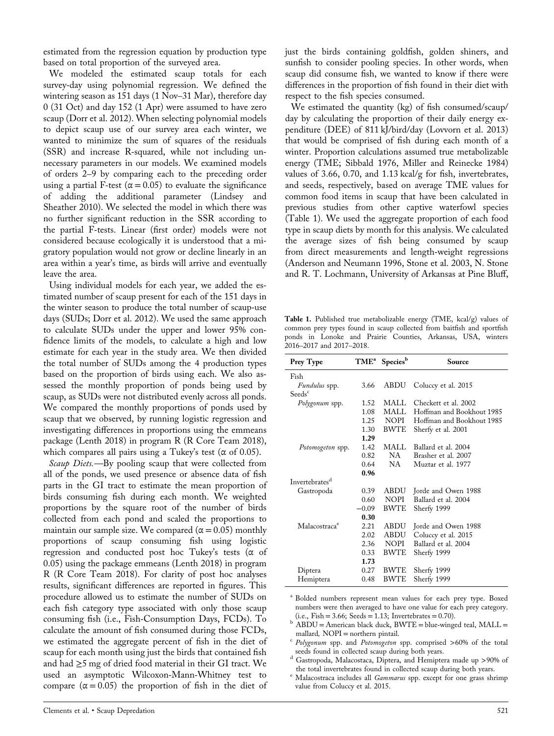estimated from the regression equation by production type based on total proportion of the surveyed area.

We modeled the estimated scaup totals for each survey-day using polynomial regression. We defined the wintering season as 151 days (1 Nov–31 Mar), therefore day 0 (31 Oct) and day 152 (1 Apr) were assumed to have zero scaup (Dorr et al. 2012). When selecting polynomial models to depict scaup use of our survey area each winter, we wanted to minimize the sum of squares of the residuals (SSR) and increase R‐squared, while not including unnecessary parameters in our models. We examined models of orders 2–9 by comparing each to the preceding order using a partial F-test ( $\alpha$  = 0.05) to evaluate the significance of adding the additional parameter (Lindsey and Sheather 2010). We selected the model in which there was no further significant reduction in the SSR according to the partial F‐tests. Linear (first order) models were not considered because ecologically it is understood that a migratory population would not grow or decline linearly in an area within a year's time, as birds will arrive and eventually leave the area.

Using individual models for each year, we added the estimated number of scaup present for each of the 151 days in the winter season to produce the total number of scaup‐use days (SUDs; Dorr et al. 2012). We used the same approach to calculate SUDs under the upper and lower 95% confidence limits of the models, to calculate a high and low estimate for each year in the study area. We then divided the total number of SUDs among the 4 production types based on the proportion of birds using each. We also assessed the monthly proportion of ponds being used by scaup, as SUDs were not distributed evenly across all ponds. We compared the monthly proportions of ponds used by scaup that we observed, by running logistic regression and investigating differences in proportions using the emmeans package (Lenth 2018) in program R (R Core Team 2018), which compares all pairs using a Tukey's test ( $\alpha$  of 0.05).

Scaup Diets.—By pooling scaup that were collected from all of the ponds, we used presence or absence data of fish parts in the GI tract to estimate the mean proportion of birds consuming fish during each month. We weighted proportions by the square root of the number of birds collected from each pond and scaled the proportions to maintain our sample size. We compared ( $\alpha$  = 0.05) monthly proportions of scaup consuming fish using logistic regression and conducted post hoc Tukey's tests (α of 0.05) using the package emmeans (Lenth 2018) in program R (R Core Team 2018). For clarity of post hoc analyses results, significant differences are reported in figures. This procedure allowed us to estimate the number of SUDs on each fish category type associated with only those scaup consuming fish (i.e., Fish‐Consumption Days, FCDs). To calculate the amount of fish consumed during those FCDs, we estimated the aggregate percent of fish in the diet of scaup for each month using just the birds that contained fish and had ≥5 mg of dried food material in their GI tract. We used an asymptotic Wilcoxon‐Mann‐Whitney test to compare  $(\alpha = 0.05)$  the proportion of fish in the diet of just the birds containing goldfish, golden shiners, and sunfish to consider pooling species. In other words, when scaup did consume fish, we wanted to know if there were differences in the proportion of fish found in their diet with respect to the fish species consumed.

We estimated the quantity (kg) of fish consumed/scaup/ day by calculating the proportion of their daily energy expenditure (DEE) of 811 kJ/bird/day (Lovvorn et al. 2013) that would be comprised of fish during each month of a winter. Proportion calculations assumed true metabolizable energy (TME; Sibbald 1976, Miller and Reinecke 1984) values of 3.66, 0.70, and 1.13 kcal/g for fish, invertebrates, and seeds, respectively, based on average TME values for common food items in scaup that have been calculated in previous studies from other captive waterfowl species (Table 1). We used the aggregate proportion of each food type in scaup diets by month for this analysis. We calculated the average sizes of fish being consumed by scaup from direct measurements and length‐weight regressions (Anderson and Neumann 1996, Stone et al. 2003, N. Stone and R. T. Lochmann, University of Arkansas at Pine Bluff,

Table 1. Published true metabolizable energy (TME, kcal/g) values of common prey types found in scaup collected from baitfish and sportfish ponds in Lonoke and Prairie Counties, Arkansas, USA, winters 2016–2017 and 2017–2018.

| Prey Type                                                         | TME <sup>a</sup> | <b>Species</b> <sup>b</sup> | Source                    |
|-------------------------------------------------------------------|------------------|-----------------------------|---------------------------|
| Fish                                                              |                  |                             |                           |
| Fundulus spp.                                                     | 3.66             | ABDU                        | Coluccy et al. 2015       |
| $\mathrm{S}\mathrm{e}\mathrm{e}\mathrm{d}\mathrm{s}^{\mathrm{c}}$ |                  |                             |                           |
| Polygonum spp.                                                    | 1.52             | MALL.                       | Checkett et al. 2002      |
|                                                                   | 1.08             | MALL                        | Hoffman and Bookhout 1985 |
|                                                                   | 1.25             | <b>NOPI</b>                 | Hoffman and Bookhout 1985 |
|                                                                   | 1.30             | <b>BWTE</b>                 | Sherfy et al. 2001        |
|                                                                   | 1.29             |                             |                           |
| Potomogeton spp.                                                  | 1.42             | MALL.                       | Ballard et al. 2004       |
|                                                                   | 0.82             | NA -                        | Brasher et al. 2007       |
|                                                                   | 0.64             | NA -                        | Muztar et al. 1977        |
|                                                                   | 0.96             |                             |                           |
| Invertebrates <sup>d</sup>                                        |                  |                             |                           |
| Gastropoda                                                        | 0.39             | <b>ABDU</b>                 | Jorde and Owen 1988       |
|                                                                   | 0.60             | <b>NOPI</b>                 | Ballard et al. 2004       |
|                                                                   | $-0.09$          | <b>BWTE</b>                 | Sherfy 1999               |
|                                                                   | 0.30             |                             |                           |
| Malacostraca <sup>e</sup>                                         | 2.21             | <b>ABDU</b>                 | Jorde and Owen 1988       |
|                                                                   | 2.02             | <b>ABDU</b>                 | Coluccy et al. 2015       |
|                                                                   | 2.36             | <b>NOPI</b>                 | Ballard et al. 2004       |
|                                                                   | 0.33             | <b>BWTE</b>                 | Sherfy 1999               |
|                                                                   | 1.73             |                             |                           |
| Diptera                                                           | 0.27             | <b>BWTE</b>                 | Sherfy 1999               |
| Hemiptera                                                         | 0.48             | <b>BWTE</b>                 | Sherfy 1999               |

<sup>a</sup> Bolded numbers represent mean values for each prey type. Boxed numbers were then averaged to have one value for each prey category.

- $^c$  Polygonum spp. and Potomogeton spp. comprised >60% of the total seeds found in collected scaup during both years.
- <sup>d</sup> Gastropoda, Malacostaca, Diptera, and Hemiptera made up >90% of the total invertebrates found in collected scaup during both years.
- $\text{ }^{\text{e}}$  Malacostraca includes all Gammarus spp. except for one grass shrimp value from Coluccy et al. 2015.

<sup>(</sup>i.e., Fish = 3.66; Seeds = 1.13; Invertebrates = 0.70).<br>  $\text{b}$  ABDU = American black duck, BWTE = blue-winged teal, MALL = mallard, NOPI = northern pintail.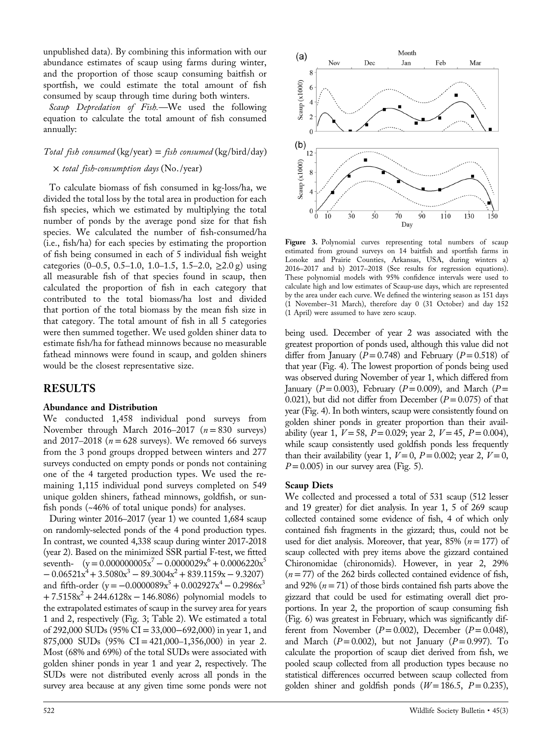unpublished data). By combining this information with our abundance estimates of scaup using farms during winter, and the proportion of those scaup consuming baitfish or sportfish, we could estimate the total amount of fish consumed by scaup through time during both winters.

Scaup Depredation of Fish.—We used the following equation to calculate the total amount of fish consumed annually:

## $Total fish consumed$  (kg/year) = *fish consumed* (kg/bird/day)  $\times$  total fish-consumption days (No./year)

To calculate biomass of fish consumed in kg‐loss/ha, we divided the total loss by the total area in production for each fish species, which we estimated by multiplying the total number of ponds by the average pond size for that fish species. We calculated the number of fish‐consumed/ha (i.e., fish/ha) for each species by estimating the proportion of fish being consumed in each of 5 individual fish weight categories (0–0.5, 0.5–1.0, 1.0–1.5, 1.5–2.0,  $\geq$ 2.0 g) using all measurable fish of that species found in scaup, then calculated the proportion of fish in each category that contributed to the total biomass/ha lost and divided that portion of the total biomass by the mean fish size in that category. The total amount of fish in all 5 categories were then summed together. We used golden shiner data to estimate fish/ha for fathead minnows because no measurable fathead minnows were found in scaup, and golden shiners would be the closest representative size.

## RESULTS

#### Abundance and Distribution

We conducted 1,458 individual pond surveys from November through March 2016–2017 ( $n = 830$  surveys) and 2017–2018 ( $n = 628$  surveys). We removed 66 surveys from the 3 pond groups dropped between winters and 277 surveys conducted on empty ponds or ponds not containing one of the 4 targeted production types. We used the remaining 1,115 individual pond surveys completed on 549 unique golden shiners, fathead minnows, goldfish, or sunfish ponds (~46% of total unique ponds) for analyses.

During winter 2016–2017 (year 1) we counted 1,684 scaup on randomly‐selected ponds of the 4 pond production types. In contrast, we counted 4,338 scaup during winter 2017‐2018 (year 2). Based on the minimized SSR partial F‐test, we fitted seventh-  $(y = 0.000000005x^{7} - 0.0000029x^{6} + 0.0006220x^{5}$  $-0.06521x^{4} + 3.5080x^{3} - 89.3004x^{2} + 839.1159x - 9.3207$ and fifth-order  $(y = -0.0000089x^5 + 0.002927x^4 - 0.2986x^3$  $+ 7.5158x^{2} + 244.6128x - 146.8086$ ) polynomial models to the extrapolated estimates of scaup in the survey area for years 1 and 2, respectively (Fig. 3; Table 2). We estimated a total of 292,000 SUDs (95% CI = 33,000−692,000) in year 1, and 875,000 SUDs  $(95\% \text{ CI} = 421,000-1,356,000)$  in year 2. Most (68% and 69%) of the total SUDs were associated with golden shiner ponds in year 1 and year 2, respectively. The SUDs were not distributed evenly across all ponds in the survey area because at any given time some ponds were not



Figure 3. Polynomial curves representing total numbers of scaup estimated from ground surveys on 14 baitfish and sportfish farms in Lonoke and Prairie Counties, Arkansas, USA, during winters a) 2016–2017 and b) 2017–2018 (See results for regression equations). These polynomial models with 95% confidence intervals were used to calculate high and low estimates of Scaup‐use days, which are represented by the area under each curve. We defined the wintering season as 151 days (1 November–31 March), therefore day 0 (31 October) and day 152 (1 April) were assumed to have zero scaup.

being used. December of year 2 was associated with the greatest proportion of ponds used, although this value did not differ from January ( $P = 0.748$ ) and February ( $P = 0.518$ ) of that year (Fig. 4). The lowest proportion of ponds being used was observed during November of year 1, which differed from January ( $P = 0.003$ ), February ( $P = 0.009$ ), and March ( $P =$ 0.021), but did not differ from December ( $P = 0.075$ ) of that year (Fig. 4). In both winters, scaup were consistently found on golden shiner ponds in greater proportion than their availability (year 1,  $V = 58$ ,  $P = 0.029$ ; year 2,  $V = 45$ ,  $P = 0.004$ ), while scaup consistently used goldfish ponds less frequently than their availability (year 1,  $V = 0$ ,  $P = 0.002$ ; year 2,  $V = 0$ ,  $P = 0.005$ ) in our survey area (Fig. 5).

#### Scaup Diets

We collected and processed a total of 531 scaup (512 lesser and 19 greater) for diet analysis. In year 1, 5 of 269 scaup collected contained some evidence of fish, 4 of which only contained fish fragments in the gizzard; thus, could not be used for diet analysis. Moreover, that year, 85% ( $n = 177$ ) of scaup collected with prey items above the gizzard contained Chironomidae (chironomids). However, in year 2, 29%  $(n = 77)$  of the 262 birds collected contained evidence of fish, and 92%  $(n = 71)$  of those birds contained fish parts above the gizzard that could be used for estimating overall diet proportions. In year 2, the proportion of scaup consuming fish (Fig. 6) was greatest in February, which was significantly different from November ( $P = 0.002$ ), December ( $P = 0.048$ ), and March  $(P = 0.002)$ , but not January  $(P = 0.997)$ . To calculate the proportion of scaup diet derived from fish, we pooled scaup collected from all production types because no statistical differences occurred between scaup collected from golden shiner and goldfish ponds  $(W = 186.5, P = 0.235)$ ,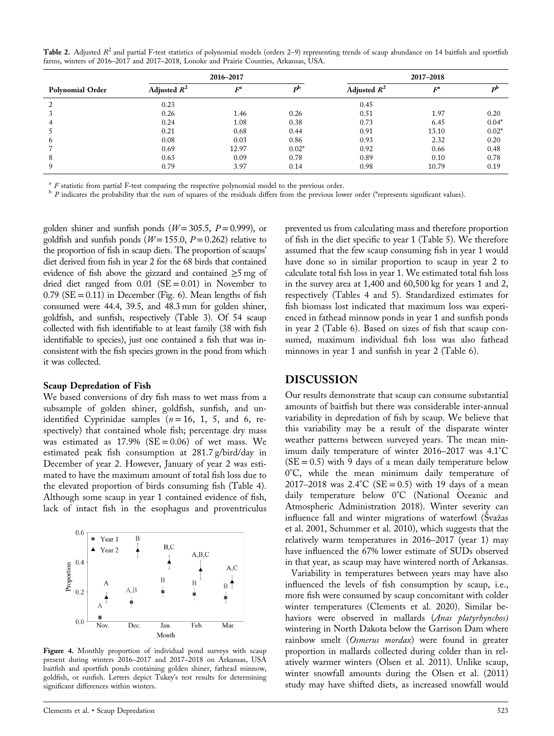Table 2. Adjusted  $R^2$  and partial F-test statistics of polynomial models (orders 2–9) representing trends of scaup abundance on 14 baitfish and sportfish farms, winters of 2016–2017 and 2017–2018, Lonoke and Prairie Counties, Arkansas, USA.

|                         |                | 2016-2017 |         | 2017-2018      |       |                           |  |  |
|-------------------------|----------------|-----------|---------|----------------|-------|---------------------------|--|--|
| <b>Polynomial Order</b> | Adjusted $R^2$ | $F^a$     |         | Adjusted $R^2$ | $F^a$ | $\mathbf{D}^{\mathbf{D}}$ |  |  |
| $\mathcal{L}$           | 0.23           |           |         | 0.45           |       |                           |  |  |
|                         | 0.26           | 1.46      | 0.26    | 0.51           | 1.97  | 0.20                      |  |  |
| 4                       | 0.24           | 1.08      | 0.38    | 0.73           | 6.45  | $0.04*$                   |  |  |
|                         | 0.21           | 0.68      | 0.44    | 0.91           | 13.10 | $0.02*$                   |  |  |
| b                       | 0.08           | 0.03      | 0.86    | 0.93           | 2.32  | 0.20                      |  |  |
|                         | 0.69           | 12.97     | $0.02*$ | 0.92           | 0.66  | 0.48                      |  |  |
| 8                       | 0.63           | 0.09      | 0.78    | 0.89           | 0.10  | 0.78                      |  |  |
| Q                       | 0.79           | 3.97      | 0.14    | 0.98           | 10.79 | 0.19                      |  |  |

 $*$  F statistic from partial F-test comparing the respective polynomial model to the previous order.<br>  $*$  P indicates the probability that the sum of squares of the residuals differs from the previous lower order (\*repres

golden shiner and sunfish ponds ( $W = 305.5$ ,  $P = 0.999$ ), or goldfish and sunfish ponds ( $W = 155.0$ ,  $P = 0.262$ ) relative to the proportion of fish in scaup diets. The proportion of scaups' diet derived from fish in year 2 for the 68 birds that contained evidence of fish above the gizzard and contained  $\geq$ 5 mg of dried diet ranged from  $0.01$  (SE = 0.01) in November to  $0.79$  (SE = 0.11) in December (Fig. 6). Mean lengths of fish consumed were 44.4, 39.5, and 48.3 mm for golden shiner, goldfish, and sunfish, respectively (Table 3). Of 54 scaup collected with fish identifiable to at least family (38 with fish identifiable to species), just one contained a fish that was inconsistent with the fish species grown in the pond from which it was collected.

#### Scaup Depredation of Fish

We based conversions of dry fish mass to wet mass from a subsample of golden shiner, goldfish, sunfish, and unidentified Cyprinidae samples  $(n = 16, 1, 5,$  and 6, respectively) that contained whole fish; percentage dry mass was estimated as  $17.9\%$  (SE = 0.06) of wet mass. We estimated peak fish consumption at 281.7 g/bird/day in December of year 2. However, January of year 2 was estimated to have the maximum amount of total fish loss due to the elevated proportion of birds consuming fish (Table 4). Although some scaup in year 1 contained evidence of fish, lack of intact fish in the esophagus and proventriculus



Figure 4. Monthly proportion of individual pond surveys with scaup present during winters 2016–2017 and 2017–2018 on Arkansas, USA baitfish and sportfish ponds containing golden shiner, fathead minnow, goldfish, or sunfish. Letters depict Tukey's test results for determining significant differences within winters.

prevented us from calculating mass and therefore proportion of fish in the diet specific to year 1 (Table 5). We therefore assumed that the few scaup consuming fish in year 1 would have done so in similar proportion to scaup in year 2 to calculate total fish loss in year 1. We estimated total fish loss in the survey area at 1,400 and 60,500 kg for years 1 and 2, respectively (Tables 4 and 5). Standardized estimates for fish biomass lost indicated that maximum loss was experienced in fathead minnow ponds in year 1 and sunfish ponds in year 2 (Table 6). Based on sizes of fish that scaup consumed, maximum individual fish loss was also fathead minnows in year 1 and sunfish in year 2 (Table 6).

#### DISCUSSION

Our results demonstrate that scaup can consume substantial amounts of baitfish but there was considerable inter‐annual variability in depredation of fish by scaup. We believe that this variability may be a result of the disparate winter weather patterns between surveyed years. The mean minimum daily temperature of winter 2016–2017 was 4.1°C  $(SE = 0.5)$  with 9 days of a mean daily temperature below 0°C, while the mean minimum daily temperature of 2017–2018 was  $2.4^{\circ}$ C (SE = 0.5) with 19 days of a mean daily temperature below 0°C (National Oceanic and Atmospheric Administration 2018). Winter severity can influence fall and winter migrations of waterfowl (Švažas et al. 2001, Schummer et al. 2010), which suggests that the relatively warm temperatures in 2016–2017 (year 1) may have influenced the 67% lower estimate of SUDs observed in that year, as scaup may have wintered north of Arkansas.

Variability in temperatures between years may have also influenced the levels of fish consumption by scaup, i.e., more fish were consumed by scaup concomitant with colder winter temperatures (Clements et al. 2020). Similar behaviors were observed in mallards (Anas platyrhynchos) wintering in North Dakota below the Garrison Dam where rainbow smelt (Osmerus mordax) were found in greater proportion in mallards collected during colder than in relatively warmer winters (Olsen et al. 2011). Unlike scaup, winter snowfall amounts during the Olsen et al. (2011) study may have shifted diets, as increased snowfall would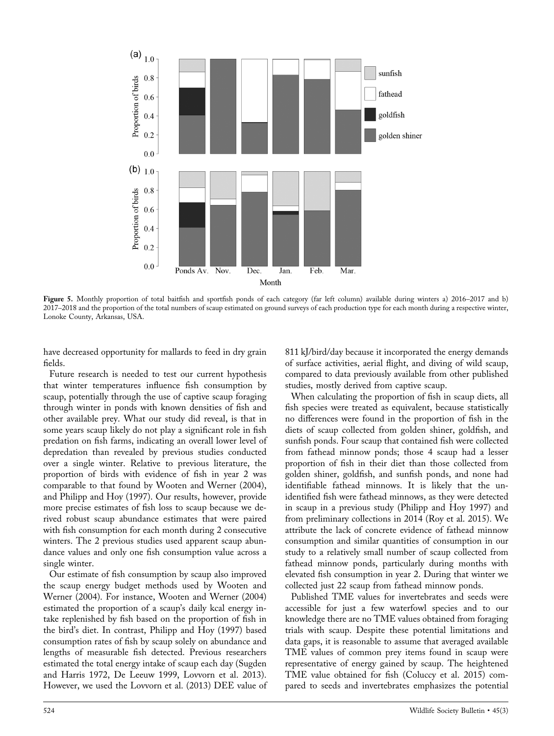

Figure 5. Monthly proportion of total baitfish and sportfish ponds of each category (far left column) available during winters a) 2016-2017 and b) 2017–2018 and the proportion of the total numbers of scaup estimated on ground surveys of each production type for each month during a respective winter, Lonoke County, Arkansas, USA.

have decreased opportunity for mallards to feed in dry grain fields.

Future research is needed to test our current hypothesis that winter temperatures influence fish consumption by scaup, potentially through the use of captive scaup foraging through winter in ponds with known densities of fish and other available prey. What our study did reveal, is that in some years scaup likely do not play a significant role in fish predation on fish farms, indicating an overall lower level of depredation than revealed by previous studies conducted over a single winter. Relative to previous literature, the proportion of birds with evidence of fish in year 2 was comparable to that found by Wooten and Werner (2004), and Philipp and Hoy (1997). Our results, however, provide more precise estimates of fish loss to scaup because we derived robust scaup abundance estimates that were paired with fish consumption for each month during 2 consecutive winters. The 2 previous studies used apparent scaup abundance values and only one fish consumption value across a single winter.

Our estimate of fish consumption by scaup also improved the scaup energy budget methods used by Wooten and Werner (2004). For instance, Wooten and Werner (2004) estimated the proportion of a scaup's daily kcal energy intake replenished by fish based on the proportion of fish in the bird's diet. In contrast, Philipp and Hoy (1997) based consumption rates of fish by scaup solely on abundance and lengths of measurable fish detected. Previous researchers estimated the total energy intake of scaup each day (Sugden and Harris 1972, De Leeuw 1999, Lovvorn et al. 2013). However, we used the Lovvorn et al. (2013) DEE value of

811 kJ/bird/day because it incorporated the energy demands of surface activities, aerial flight, and diving of wild scaup, compared to data previously available from other published studies, mostly derived from captive scaup.

When calculating the proportion of fish in scaup diets, all fish species were treated as equivalent, because statistically no differences were found in the proportion of fish in the diets of scaup collected from golden shiner, goldfish, and sunfish ponds. Four scaup that contained fish were collected from fathead minnow ponds; those 4 scaup had a lesser proportion of fish in their diet than those collected from golden shiner, goldfish, and sunfish ponds, and none had identifiable fathead minnows. It is likely that the unidentified fish were fathead minnows, as they were detected in scaup in a previous study (Philipp and Hoy 1997) and from preliminary collections in 2014 (Roy et al. 2015). We attribute the lack of concrete evidence of fathead minnow consumption and similar quantities of consumption in our study to a relatively small number of scaup collected from fathead minnow ponds, particularly during months with elevated fish consumption in year 2. During that winter we collected just 22 scaup from fathead minnow ponds.

Published TME values for invertebrates and seeds were accessible for just a few waterfowl species and to our knowledge there are no TME values obtained from foraging trials with scaup. Despite these potential limitations and data gaps, it is reasonable to assume that averaged available TME values of common prey items found in scaup were representative of energy gained by scaup. The heightened TME value obtained for fish (Coluccy et al. 2015) compared to seeds and invertebrates emphasizes the potential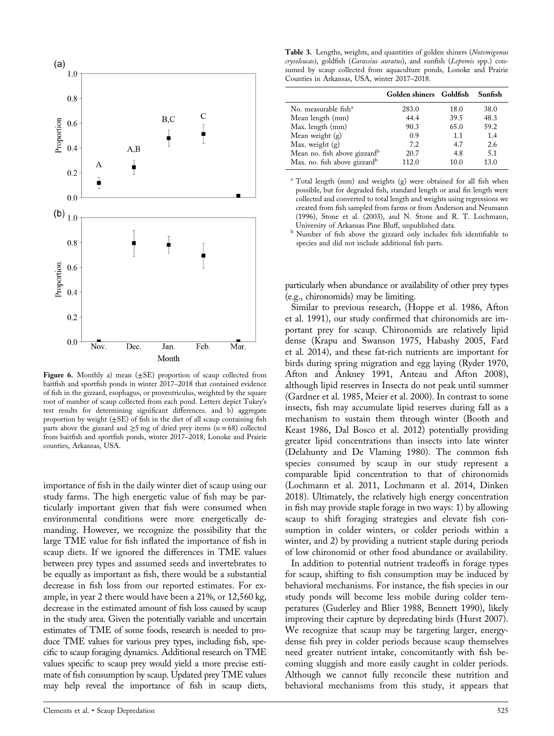

Figure 6. Monthly a) mean  $(\pm SE)$  proportion of scaup collected from baitfish and sportfish ponds in winter 2017–2018 that contained evidence of fish in the gizzard, esophagus, or proventriculus, weighted by the square root of number of scaup collected from each pond. Letters depict Tukey's test results for determining significant differences. and b) aggregate proportion by weight  $(\pm SE)$  of fish in the diet of all scaup containing fish parts above the gizzard and  $\geq$ 5 mg of dried prey items (n = 68) collected from baitfish and sportfish ponds, winter 2017–2018, Lonoke and Prairie counties, Arkansas, USA.

importance of fish in the daily winter diet of scaup using our study farms. The high energetic value of fish may be particularly important given that fish were consumed when environmental conditions were more energetically demanding. However, we recognize the possibility that the large TME value for fish inflated the importance of fish in scaup diets. If we ignored the differences in TME values between prey types and assumed seeds and invertebrates to be equally as important as fish, there would be a substantial decrease in fish loss from our reported estimates. For example, in year 2 there would have been a 21%, or 12,560 kg, decrease in the estimated amount of fish loss caused by scaup in the study area. Given the potentially variable and uncertain estimates of TME of some foods, research is needed to produce TME values for various prey types, including fish, specific to scaup foraging dynamics. Additional research on TME values specific to scaup prey would yield a more precise estimate of fish consumption by scaup. Updated prey TME values may help reveal the importance of fish in scaup diets,

Table 3. Lengths, weights, and quantities of golden shiners (Notemigonus crysoleucas), goldfish (Carassius auratus), and sunfish (Lepomis spp.) consumed by scaup collected from aquaculture ponds, Lonoke and Prairie Counties in Arkansas, USA, winter 2017–2018.

|       |      | Sunfish                 |
|-------|------|-------------------------|
| 283.0 | 18.0 | 38.0                    |
| 44.4  | 39.5 | 48.3                    |
| 90.3  | 65.0 | 59.2                    |
| 0.9   | 1.1  | 1.4                     |
| 7.2   | 4.7  | 2.6                     |
| 20.7  | 4.8  | 5.1                     |
| 112.0 | 10.0 | 13.0                    |
|       |      | Golden shiners Goldfish |

<sup>a</sup> Total length (mm) and weights (g) were obtained for all fish when possible, but for degraded fish, standard length or anal fin length were collected and converted to total length and weights using regressions we created from fish sampled from farms or from Anderson and Neumann (1996), Stone et al. (2003), and N. Stone and R. T. Lochmann,

<sup>b</sup> Number of fish above the gizzard only includes fish identifiable to species and did not include additional fish parts.

particularly when abundance or availability of other prey types (e.g., chironomids) may be limiting.

Similar to previous research, (Hoppe et al. 1986, Afton et al. 1991), our study confirmed that chironomids are important prey for scaup. Chironomids are relatively lipid dense (Krapu and Swanson 1975, Habashy 2005, Fard et al. 2014), and these fat‐rich nutrients are important for birds during spring migration and egg laying (Ryder 1970, Afton and Ankney 1991, Anteau and Afton 2008), although lipid reserves in Insecta do not peak until summer (Gardner et al. 1985, Meier et al. 2000). In contrast to some insects, fish may accumulate lipid reserves during fall as a mechanism to sustain them through winter (Booth and Keast 1986, Dal Bosco et al. 2012) potentially providing greater lipid concentrations than insects into late winter (Delahunty and De Vlaming 1980). The common fish species consumed by scaup in our study represent a comparable lipid concentration to that of chironomids (Lochmann et al. 2011, Lochmann et al. 2014, Dinken 2018). Ultimately, the relatively high energy concentration in fish may provide staple forage in two ways: 1) by allowing scaup to shift foraging strategies and elevate fish consumption in colder winters, or colder periods within a winter, and 2) by providing a nutrient staple during periods of low chironomid or other food abundance or availability.

In addition to potential nutrient tradeoffs in forage types for scaup, shifting to fish consumption may be induced by behavioral mechanisms. For instance, the fish species in our study ponds will become less mobile during colder temperatures (Guderley and Blier 1988, Bennett 1990), likely improving their capture by depredating birds (Hurst 2007). We recognize that scaup may be targeting larger, energydense fish prey in colder periods because scaup themselves need greater nutrient intake, concomitantly with fish becoming sluggish and more easily caught in colder periods. Although we cannot fully reconcile these nutrition and behavioral mechanisms from this study, it appears that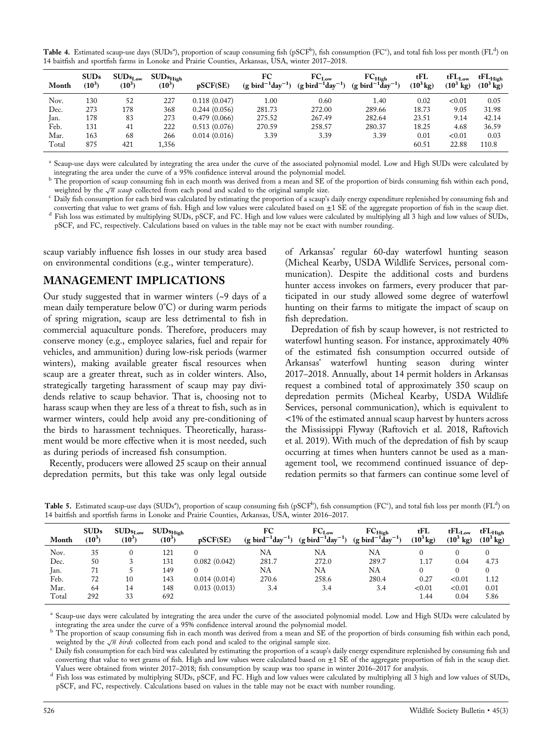${\rm Table}$  4. Estimated scaup-use days (SUDsª), proportion of scaup consuming fish (pSCF<sup>b</sup>), fish consumption (FC°), and total fish loss per month (FL<sup>d</sup>) on 14 baitfish and sportfish farms in Lonoke and Prairie Counties, Arkansas, USA, winter 2017–2018.

| Month | SUBs<br>$(10^3)$ | $\text{SUB}_{s_{Low}}$<br>$^{\prime}10^{3}$ | $\rm{SUBs_{High}}$<br>$(10^3)$ | pSCF(SE)     | FC<br>$(g \; \text{bird}^{-1} \text{day}^{-1})$ | $FC_{Low}$<br>$-1$<br>$(g~\text{bird}^{-1}\text{day})$ | $FC_{High}$<br>$(g \; \text{bird}^{-1} \check{d}ay^{-1})$ | tFL<br>$(10^3 \text{kg})$ | $tFL_{Low}$<br>$(10^3 \text{ kg})$ | $\mathrm{tFL}_{\mathrm{High}}$<br>$(10^3 \text{ kg})$ |
|-------|------------------|---------------------------------------------|--------------------------------|--------------|-------------------------------------------------|--------------------------------------------------------|-----------------------------------------------------------|---------------------------|------------------------------------|-------------------------------------------------------|
| Nov.  | 130              | 52                                          | 227                            | 0.118(0.047) | 1.00                                            | 0.60                                                   | 1.40                                                      | 0.02                      | < 0.01                             | 0.05                                                  |
| Dec.  | 273              | 178                                         | 368                            | 0.244(0.056) | 281.73                                          | 272.00                                                 | 289.66                                                    | 18.73                     | 9.05                               | 31.98                                                 |
| Jan.  | 178              | 83                                          | 273                            | 0.479(0.066) | 275.52                                          | 267.49                                                 | 282.64                                                    | 23.51                     | 9.14                               | 42.14                                                 |
| Feb.  | 131              | 41                                          | 222                            | 0.513(0.076) | 270.59                                          | 258.57                                                 | 280.37                                                    | 18.25                     | 4.68                               | 36.59                                                 |
| Mar.  | 163              | 68                                          | 266                            | 0.014(0.016) | 3.39                                            | 3.39                                                   | 3.39                                                      | 0.01                      | < 0.01                             | 0.03                                                  |
| Total | 875              | 421                                         | 1,356                          |              |                                                 |                                                        |                                                           | 60.51                     | 22.88                              | 110.8                                                 |

<sup>a</sup> Scaup-use days were calculated by integrating the area under the curve of the associated polynomial model. Low and High SUDs were calculated by integrating the area under the curve of a 95% confidence interval around t

The proportion of scaup consuming fish in each month was derived from a mean and SE of the proportion of birds consuming fish within each pond, weighted by the  $\sqrt{n}$  scaup collected from each pond and scaled to the original sample size.<br>Cally fish consumption for each bird was calculated by estimating the proportion of a scaup's daily energy expenditure replenis

converting that value to wet grams of fish. High and low values were calculated based on  $\pm 1$  SE of the aggregate proportion of fish in the scaup diet.<br>Fish loss was estimated by multiplying SUDs, pSCF, and FC. High and pSCF, and FC, respectively. Calculations based on values in the table may not be exact with number rounding.

scaup variably influence fish losses in our study area based on environmental conditions (e.g., winter temperature).

#### MANAGEMENT IMPLICATIONS

Our study suggested that in warmer winters (~9 days of a mean daily temperature below 0°C) or during warm periods of spring migration, scaup are less detrimental to fish in commercial aquaculture ponds. Therefore, producers may conserve money (e.g., employee salaries, fuel and repair for vehicles, and ammunition) during low‐risk periods (warmer winters), making available greater fiscal resources when scaup are a greater threat, such as in colder winters. Also, strategically targeting harassment of scaup may pay dividends relative to scaup behavior. That is, choosing not to harass scaup when they are less of a threat to fish, such as in warmer winters, could help avoid any pre-conditioning of the birds to harassment techniques. Theoretically, harassment would be more effective when it is most needed, such as during periods of increased fish consumption.

Recently, producers were allowed 25 scaup on their annual depredation permits, but this take was only legal outside of Arkansas' regular 60‐day waterfowl hunting season (Micheal Kearby, USDA Wildlife Services, personal communication). Despite the additional costs and burdens hunter access invokes on farmers, every producer that participated in our study allowed some degree of waterfowl hunting on their farms to mitigate the impact of scaup on fish depredation.

Depredation of fish by scaup however, is not restricted to waterfowl hunting season. For instance, approximately 40% of the estimated fish consumption occurred outside of Arkansas' waterfowl hunting season during winter 2017–2018. Annually, about 14 permit holders in Arkansas request a combined total of approximately 350 scaup on depredation permits (Micheal Kearby, USDA Wildlife Services, personal communication), which is equivalent to <1% of the estimated annual scaup harvest by hunters across the Mississippi Flyway (Raftovich et al. 2018, Raftovich et al. 2019). With much of the depredation of fish by scaup occurring at times when hunters cannot be used as a management tool, we recommend continued issuance of depredation permits so that farmers can continue some level of

| Month | <b>SUDs</b><br>$(10^3)$ | $\text{SUB}_{s_{\text{Low}}}$<br>$(10^5)$ | $\text{SUB}_{\text{High}}$<br>$(10^5)$ | pSCF(SE)     | FC<br>$(g \; bird^{-1}day^{-1})$ | $FC_{Low}$<br>$(g~bird^{-1}day^{-1})$ | $FC_{High}$<br>$(g~bird^{-1}\ddot{d}ay^{-1})$ | tFL<br>$(10^3 \text{ kg})$ | $tFL_{Low}$<br>$(10^3$<br>kg) | $\mathrm{tFL}_{\mathrm{High}}$<br>$(10^3 \text{ kg})$ |
|-------|-------------------------|-------------------------------------------|----------------------------------------|--------------|----------------------------------|---------------------------------------|-----------------------------------------------|----------------------------|-------------------------------|-------------------------------------------------------|
| Nov.  | 35                      |                                           | 121                                    |              | NA                               | NA                                    | NA                                            |                            |                               |                                                       |
| Dec.  | 50                      |                                           | 131                                    | 0.082(0.042) | 281.7                            | 272.0                                 | 289.7                                         | 1.17                       | 0.04                          | 4.73                                                  |
| Jan.  | 71                      |                                           | 149                                    |              | NA                               | NA                                    | NA                                            |                            |                               |                                                       |
| Feb.  | 72                      | 10                                        | 143                                    | 0.014(0.014) | 270.6                            | 258.6                                 | 280.4                                         | 0.27                       | < 0.01                        | 1.12                                                  |
| Mar.  | 64                      | 14                                        | 148                                    | 0.013(0.013) | 3.4                              | 3.4                                   | 3.4                                           | < 0.01                     | < 0.01                        | 0.01                                                  |
| Total | 292                     | 33                                        | 692                                    |              |                                  |                                       |                                               | 1.44                       | 0.04                          | 5.86                                                  |

Table 5. Estimated scaup-use days (SUDsª), proportion of scaup consuming fish (pSCF<sup>b</sup>), fish consumption (FC°), and total fish loss per month (FL<sup>d</sup>) on 14 baitfish and sportfish farms in Lonoke and Prairie Counties, Arkansas, USA, winter 2016–2017.

<sup>a</sup> Scaup-use days were calculated by integrating the area under the curve of the associated polynomial model. Low and High SUDs were calculated by

integrating the area under the curve of a 95% confidence interval around the polynomial model.<br><sup>b</sup> The proportion of scaup consuming fish in each month was derived from a mean and SE of the proportion of birds consuming f

weighted by the  $\sqrt{n}$  birds collected from each pond and scaled to the original sample size.<br>Cally fish consumption for each bird was calculated by estimating the proportion of a scaup's daily energy expenditure replenis converting that value to wet grams of fish. High and low values were calculated based on  $\pm 1$  SE of the aggregate proportion of fish in the scaup diet. Values were obtained from winter 2017–2018; fish consumption by sca

<sup>d</sup> Fish loss was estimated by multiplying SUDs, pSCF, and FC. High and low values were calculated by multiplying all 3 high and low values of SUDs, pSCF, and FC, respectively. Calculations based on values in the table may not be exact with number rounding.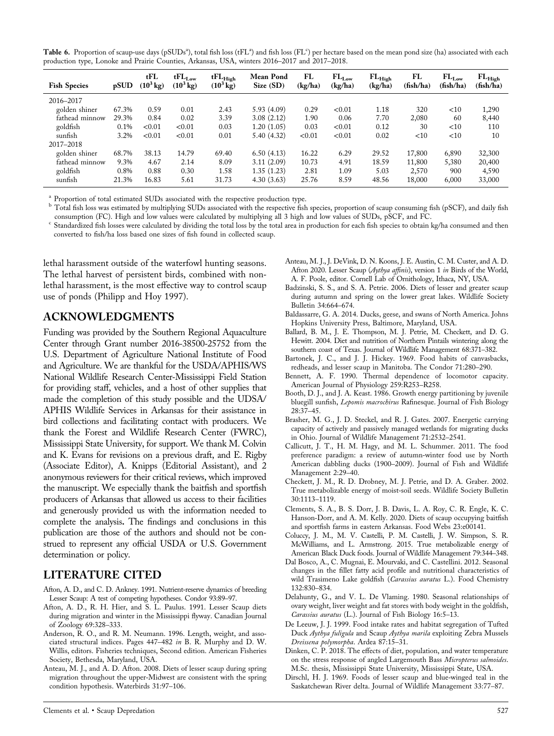Table 6. Proportion of scaup-use days (pSUDs<sup>a</sup>), total fish loss (tFL<sup>a</sup>) and fish loss (FL<sup>c</sup>) per hectare based on the mean pond size (ha) associated with each production type, Lonoke and Prairie Counties, Arkansas, USA, winters 2016–2017 and 2017–2018.

| <b>Fish Species</b> | pSUD  | tFL<br>$(10^3 \,\mathrm{kg})$ | $tFL_{Low}$<br>$(10^3 \text{ kg})$ | $\mathrm{tFL}_{\mathrm{High}}$<br>$(10^3 \text{ kg})$ | Mean Pond<br>Size(SD) | FL<br>(kg/ha) | $FL_{Low}$<br>(kg/ha) | $FL_{High}$<br>(kg/ha) | FL<br>(fish/ha) | $FL_{Low}$<br>(fish/ha) | $FL_{High}$<br>(fish/ha) |
|---------------------|-------|-------------------------------|------------------------------------|-------------------------------------------------------|-----------------------|---------------|-----------------------|------------------------|-----------------|-------------------------|--------------------------|
| 2016-2017           |       |                               |                                    |                                                       |                       |               |                       |                        |                 |                         |                          |
| golden shiner       | 67.3% | 0.59                          | 0.01                               | 2.43                                                  | 5.93(4.09)            | 0.29          | < 0.01                | 1.18                   | 320             | $<$ 10                  | 1,290                    |
| fathead minnow      | 29.3% | 0.84                          | 0.02                               | 3.39                                                  | 3.08(2.12)            | 1.90          | 0.06                  | 7.70                   | 2,080           | 60                      | 8,440                    |
| goldfish            | 0.1%  | < 0.01                        | < 0.01                             | 0.03                                                  | 1.20(1.05)            | 0.03          | < 0.01                | 0.12                   | 30              | $<$ 10                  | 110                      |
| sunfish             | 3.2%  | < 0.01                        | < 0.01                             | 0.01                                                  | 5.40(4.32)            | < 0.01        | < 0.01                | 0.02                   | $<$ 10          | $<$ 10                  | 10                       |
| 2017-2018           |       |                               |                                    |                                                       |                       |               |                       |                        |                 |                         |                          |
| golden shiner       | 68.7% | 38.13                         | 14.79                              | 69.40                                                 | 6.50(4.13)            | 16.22         | 6.29                  | 29.52                  | 17,800          | 6,890                   | 32,300                   |
| fathead minnow      | 9.3%  | 4.67                          | 2.14                               | 8.09                                                  | 3.11(2.09)            | 10.73         | 4.91                  | 18.59                  | 11,800          | 5,380                   | 20,400                   |
| goldfish            | 0.8%  | 0.88                          | 0.30                               | 1.58                                                  | 1.35(1.23)            | 2.81          | 1.09                  | 5.03                   | 2,570           | 900                     | 4,590                    |
| sunfish             | 21.3% | 16.83                         | 5.61                               | 31.73                                                 | 4.30(3.63)            | 25.76         | 8.59                  | 48.56                  | 18,000          | 6,000                   | 33,000                   |

<sup>a</sup> Proportion of total estimated SUDs associated with the respective production type.

b Total fish loss was estimated by multiplying SUDs associated with the respective fish species, proportion of scaup consuming fish (pSCF), and daily fish consumption (FC). High and low values were calculated by multiplyin

Standardized fish losses were calculated by dividing the total loss by the total area in production for each fish species to obtain kg/ha consumed and then converted to fish/ha loss based one sizes of fish found in collected scaup.

lethal harassment outside of the waterfowl hunting seasons. The lethal harvest of persistent birds, combined with nonlethal harassment, is the most effective way to control scaup use of ponds (Philipp and Hoy 1997).

#### ACKNOWLEDGMENTS

Funding was provided by the Southern Regional Aquaculture Center through Grant number 2016‐38500‐25752 from the U.S. Department of Agriculture National Institute of Food and Agriculture. We are thankful for the USDA/APHIS/WS National Wildlife Research Center‐Mississippi Field Station for providing staff, vehicles, and a host of other supplies that made the completion of this study possible and the UDSA/ APHIS Wildlife Services in Arkansas for their assistance in bird collections and facilitating contact with producers. We thank the Forest and Wildlife Research Center (FWRC), Mississippi State University, for support. We thank M. Colvin and K. Evans for revisions on a previous draft, and E. Rigby (Associate Editor), A. Knipps (Editorial Assistant), and 2 anonymous reviewers for their critical reviews, which improved the manuscript. We especially thank the baitfish and sportfish producers of Arkansas that allowed us access to their facilities and generously provided us with the information needed to complete the analysis. The findings and conclusions in this publication are those of the authors and should not be construed to represent any official USDA or U.S. Government determination or policy.

## LITERATURE CITED

- Afton, A. D., and C. D. Ankney. 1991. Nutrient‐reserve dynamics of breeding Lesser Scaup: A test of competing hypotheses. Condor 93:89–97.
- Afton, A. D., R. H. Hier, and S. L. Paulus. 1991. Lesser Scaup diets during migration and winter in the Mississippi flyway. Canadian Journal of Zoology 69:328–333.
- Anderson, R. O., and R. M. Neumann. 1996. Length, weight, and associated structural indices. Pages 447–482 in B. R. Murphy and D. W. Willis, editors. Fisheries techniques, Second edition. American Fisheries Society, Bethesda, Maryland, USA.
- Anteau, M. J., and A. D. Afton. 2008. Diets of lesser scaup during spring migration throughout the upper‐Midwest are consistent with the spring condition hypothesis. Waterbirds 31:97–106.
- Anteau, M. J., J. DeVink, D. N. Koons, J. E. Austin, C. M. Custer, and A. D. Afton 2020. Lesser Scaup (Aythya affinis), version 1 in Birds of the World, A. F. Poole, editor. Cornell Lab of Ornithology, Ithaca, NY, USA.
- Badzinski, S. S., and S. A. Petrie. 2006. Diets of lesser and greater scaup during autumn and spring on the lower great lakes. Wildlife Society Bulletin 34:664–674.
- Baldassarre, G. A. 2014. Ducks, geese, and swans of North America. Johns Hopkins University Press, Baltimore, Maryland, USA.
- Ballard, B. M., J. E. Thompson, M. J. Petrie, M. Checkett, and D. G. Hewitt. 2004. Diet and nutrition of Northern Pintails wintering along the southern coast of Texas. Journal of Wildlife Management 68:371–382.
- Bartonek, J. C., and J. J. Hickey. 1969. Food habits of canvasbacks, redheads, and lesser scaup in Manitoba. The Condor 71:280–290.
- Bennett, A. F. 1990. Thermal dependence of locomotor capacity. American Journal of Physiology 259:R253–R258.
- Booth, D. J., and J. A. Keast. 1986. Growth energy partitioning by juvenile bluegill sunfish, Lepomis macrochirus Rafinesque. Journal of Fish Biology 28:37–45.
- Brasher, M. G., J. D. Steckel, and R. J. Gates. 2007. Energetic carrying capacity of actively and passively managed wetlands for migrating ducks in Ohio. Journal of Wildlife Management 71:2532–2541.
- Callicutt, J. T., H. M. Hagy, and M. L. Schummer. 2011. The food preference paradigm: a review of autumn‐winter food use by North American dabbling ducks (1900–2009). Journal of Fish and Wildlife Management 2:29–40.
- Checkett, J. M., R. D. Drobney, M. J. Petrie, and D. A. Graber. 2002. True metabolizable energy of moist‐soil seeds. Wildlife Society Bulletin 30:1113–1119.
- Clements, S. A., B. S. Dorr, J. B. Davis, L. A. Roy, C. R. Engle, K. C. Hanson‐Dorr, and A. M. Kelly. 2020. Diets of scaup occupying baitfish and sportfish farms in eastern Arkansas. Food Webs 23:e00141.
- Coluccy, J. M., M. V. Castelli, P. M. Castelli, J. W. Simpson, S. R. McWilliams, and L. Armstrong. 2015. True metabolizable energy of American Black Duck foods. Journal of Wildlife Management 79:344–348.
- Dal Bosco, A., C. Mugnai, E. Mourvaki, and C. Castellini. 2012. Seasonal changes in the fillet fatty acid profile and nutritional characteristics of wild Trasimeno Lake goldfish (Carassius auratus L.). Food Chemistry 132:830–834.
- Delahunty, G., and V. L. De Vlaming. 1980. Seasonal relationships of ovary weight, liver weight and fat stores with body weight in the goldfish, Carassius auratus (L.). Journal of Fish Biology 16:5–13.
- De Leeuw, J. J. 1999. Food intake rates and habitat segregation of Tufted Duck Aythya fuligula and Scaup Aythya marila exploiting Zebra Mussels Dreissena polymorpha. Ardea 87:15–31.
- Dinken, C. P. 2018. The effects of diet, population, and water temperature on the stress response of angled Largemouth Bass Micropterus salmoides. M.Sc. thesis, Mississippi State University, Mississippi State, USA.
- Dirschl, H. J. 1969. Foods of lesser scaup and blue-winged teal in the Saskatchewan River delta. Journal of Wildlife Management 33:77–87.